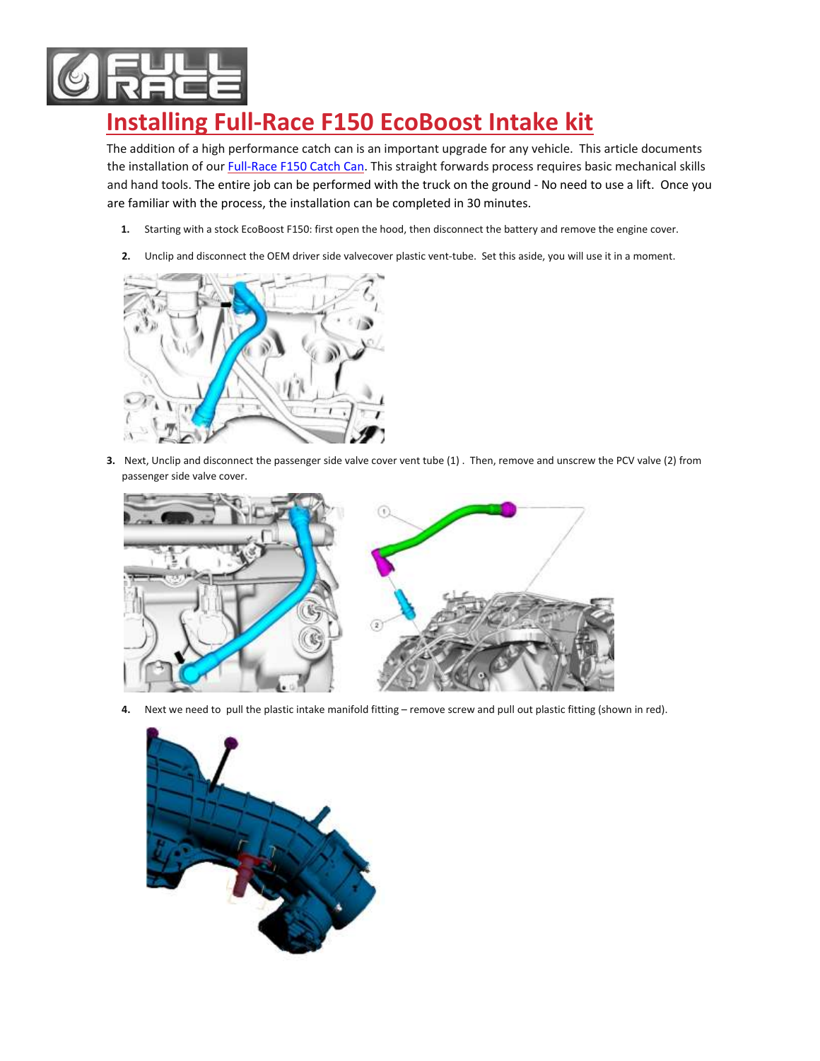

## **Installing Full-Race F150 EcoBoost Intake kit**

The addition of a high performance catch can is an important upgrade for any vehicle. This article documents the installation of our [Full-Race F150](http://www.full-race.com/store/ecoboost/2015-f-150-ecoboost-freakoboost-intercooler-cac-upgrade-kit-2.html) Catch Can. This straight forwards process requires basic mechanical skills and hand tools. The entire job can be performed with the truck on the ground - No need to use a lift. Once you are familiar with the process, the installation can be completed in 30 minutes.

- **1.** Starting with a stock EcoBoost F150: first open the hood, then disconnect the battery and remove the engine cover.
- **2.** Unclip and disconnect the OEM driver side valvecover plastic vent-tube. Set this aside, you will use it in a moment.



**3.** Next, Unclip and disconnect the passenger side valve cover vent tube (1) . Then, remove and unscrew the PCV valve (2) from passenger side valve cover.



**4.** Next we need to pull the plastic intake manifold fitting – remove screw and pull out plastic fitting (shown in red).

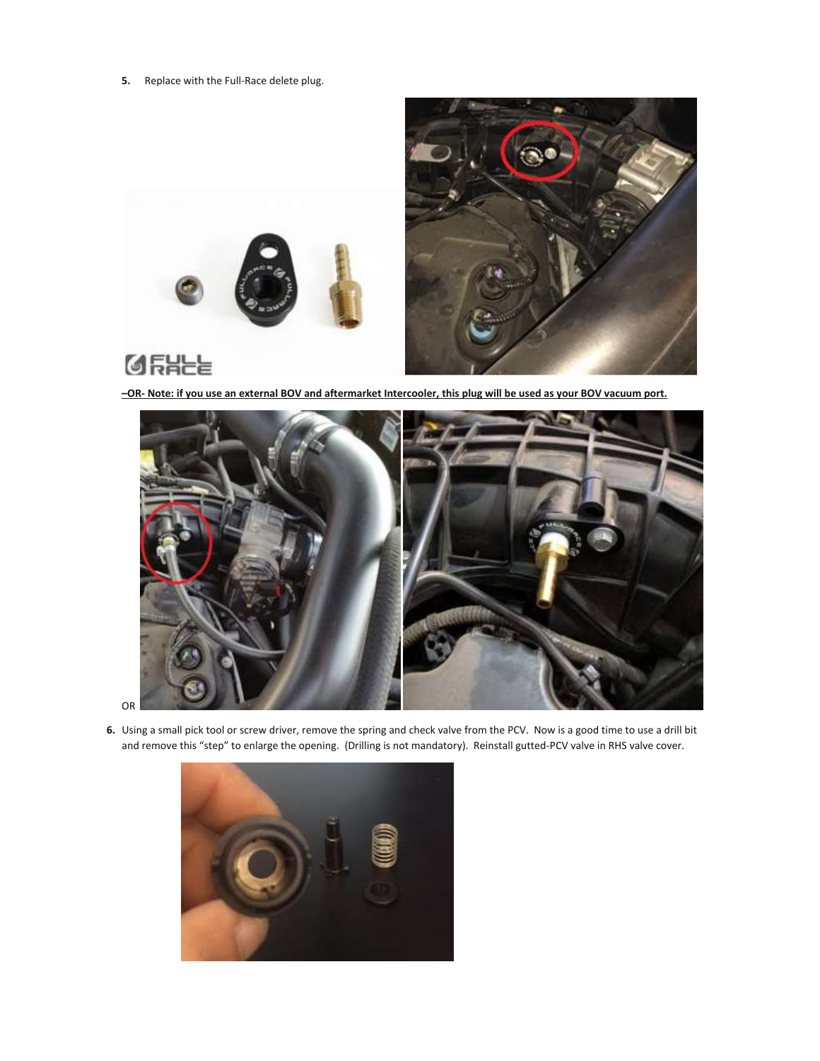**5.** Replace with the Full-Race delete plug.



**–OR- Note: if you use an external BOV and aftermarket Intercooler, this plug will be used as your BOV vacuum port.**



**6.** Using a small pick tool or screw driver, remove the spring and check valve from the PCV. Now is a good time to use a drill bit and remove this "step" to enlarge the opening. (Drilling is not mandatory). Reinstall gutted-PCV valve in RHS valve cover.

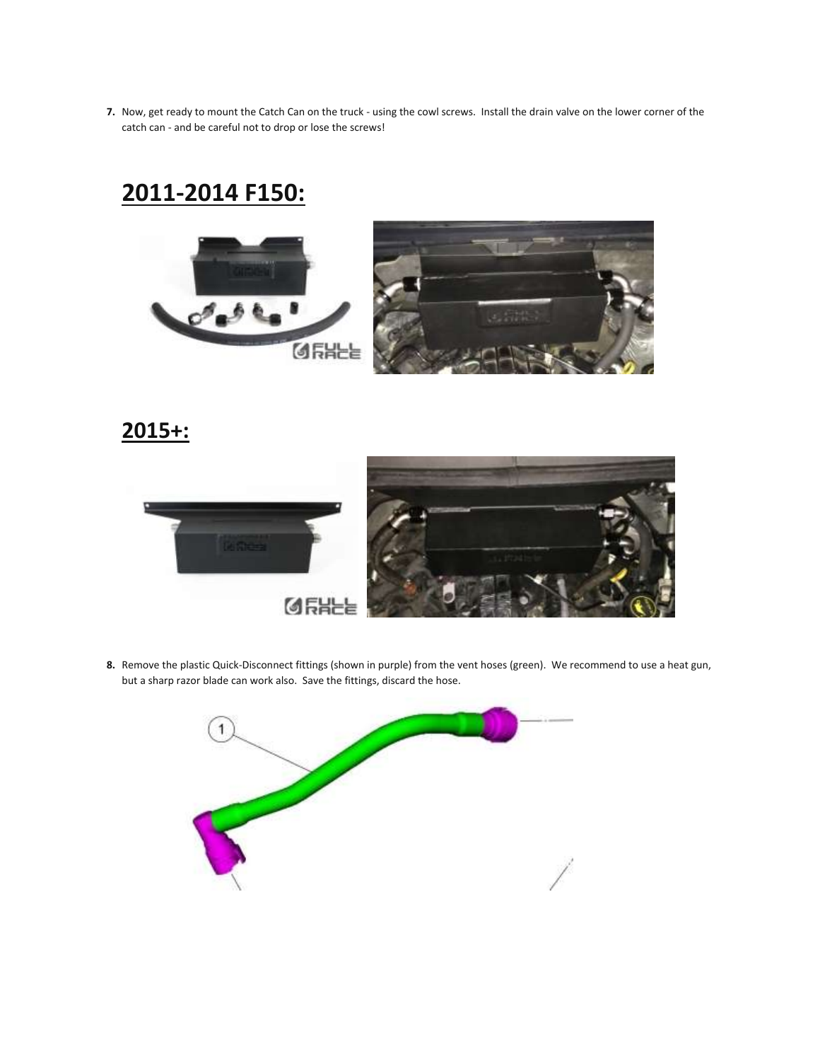**7.** Now, get ready to mount the Catch Can on the truck - using the cowl screws. Install the drain valve on the lower corner of the catch can - and be careful not to drop or lose the screws!

## **2011-2014 F150:**





**2015+:**



**8.** Remove the plastic Quick-Disconnect fittings (shown in purple) from the vent hoses (green). We recommend to use a heat gun, but a sharp razor blade can work also. Save the fittings, discard the hose.

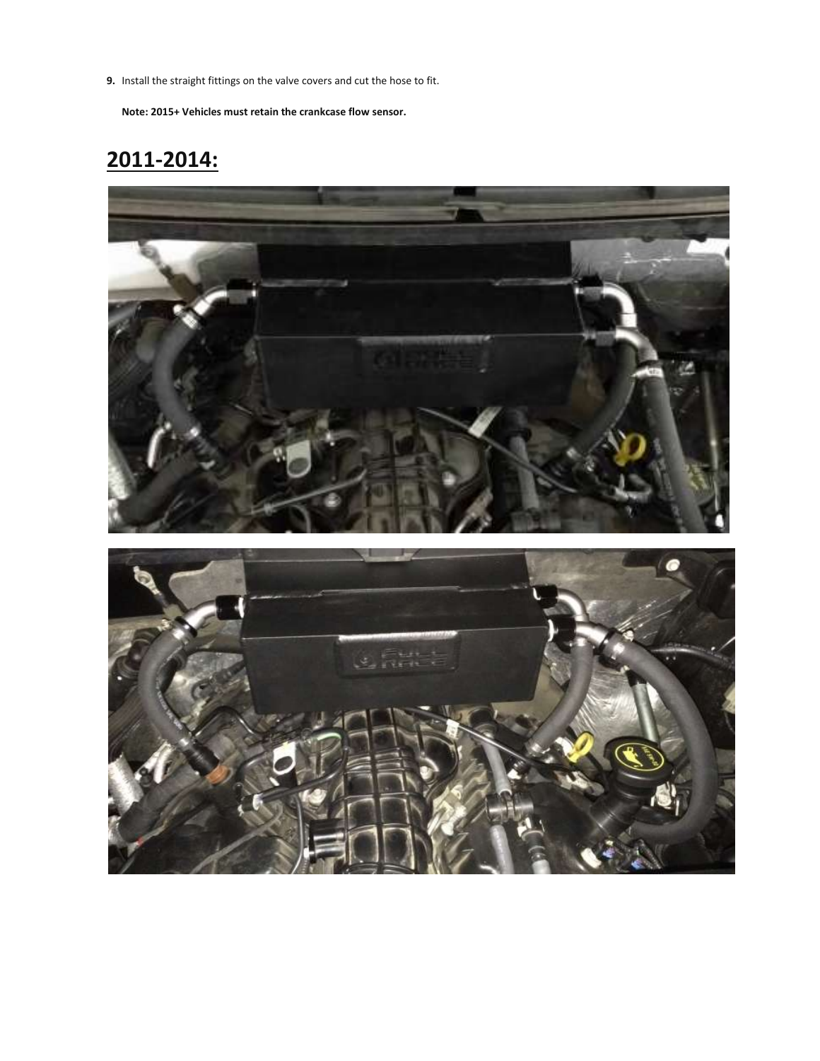**9.** Install the straight fittings on the valve covers and cut the hose to fit.

**Note: 2015+ Vehicles must retain the crankcase flow sensor.**

## **2011-2014:**